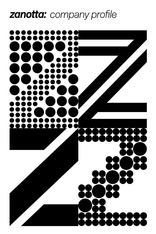#### zanotta: company profile

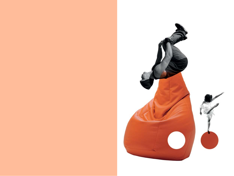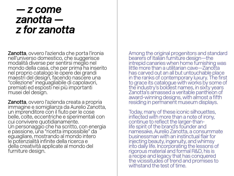Zanotta, ovvero l'azienda che porta l'ironia nell'universo domestico, che suggerisce modalità diverse per sentirsi meglio nel mondo della casa, che per prima ha inserito nel proprio catalogo le opere dei grandi maestri del design, facendo nascere una "collezione" ineguagliabile di capolavori, premiati ed esposti nei più importanti musei del design.

Zanotta, ovvero l'azienda creata a propria immagine e somiglianza da Aurelio Zanotta, un imprenditore con il fiuto per le cose belle, colte, eccentriche e sperimentali con cui convivere quotidianamente. Un personaggio che ha scritto, con energia e passione, una "ricetta impossibile" da eguagliare, mostrando al mondo intero le potenzialità infinite della ricerca e della creatività applicate al mondo del furniture design.

#### Among the original progenitors and standard bearers of Italian furniture design—the intrepid canaries when home furnishing was little more than a utilitarian cave—Zanotta has carved out an all but untouchable place in the ranks of contemporary luxury. The first to grace its catalogue with works by some of the industry's boldest names, in sixty years Zanotta's amassed a veritable pantheon of award-winning designs, with almost a fifth

residing in permanent museum displays.

Today, many of these iconic silhouettes, inflected with more than a note of irony, continue to reflect the larger-thanlife spirit of the brand's founder and namesake, Aurelio Zanotta, a consummate businessman with an instinctual flair for injecting beauty, ingenuity, and whimsy into daily life. Incorporating the lessons of rigorous material and formal R&D, his is a recipe and legacy that has conquered the vicissitudes of trend and promises to withstand the test of time.

#### *— z come zanotta z for zanotta*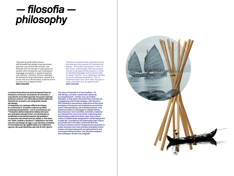# *— filosofia philosophy*

*"Zanotta fa parte della storia e dell'attualità del design internazionale… esprime una visione del mondo, una filosofia che ha cercato in ogni epoca di andare oltre il presente, per individuare linguaggi e prodotti, in grado di parlare 'per sempre'. Zanotta, nel suo catalogo, ha tantissimi long bestsellers: questa è la prova che se si lavora bene, la storia non è un peso ma un'opportunità."*  Aldo Colonetti

**La storia di Zanotta è la storia di sessant'anni di intuizioni e di record, di azzardi e di curiosità, e soprattutto di risultati speciali che poche aziende possono vantare: con oltre 550 prodotti realizzati, Zanotta ha un posto a sé nel grande mondo del design.** 

**Un'azienda e un catalogo difficili da imitare, la cui filosofia è "produrre cultura e profitto contemporaneamente", con la convinzione che "l'industria dell'arredamento debba sforzarsi per anticipare bisogni futuri, non limitandosi a soddisfare la domanda passiva del pubblico". Un assunto che rimane ancora valido, e che vede nel "bello, fruibile e duraturo" l'obbiettivo che tutti cercano nel design di oggi, e che Zanotta considera irrinunciabile per gli oggetti della sua collezione, ognuno dei quali destinato alla vita di tutti i giorni.**

*"Zanotta simultaneously represents both the past and the present of international design...The brand expresses a vision of the world, a philosophy that has always strived to go beyond the present in order to identify languages and products able to speak 'forever.' In its catalogue Zanotta has many lifelong bestsellers. This is evidence that if you work well, the past is never a burden, but an opportunity."*  **Aldo Colonetti**

**The story of Zanotta is of one intuition—of risk taking, curiosity, reward and, above all, accomplishment—written over six fruitful decades. In that span, the brand has churned out a staggering total of 550 designs, with almost a fifth residing in permanent collections at the most prestigious museums and institutions around the world, represented by 330 individual pieces. And while its position in the pages of design history becomes ever-more rarefied, Zanotta's creations are intended for much more than collecting dust behind glass walls and velvet rope. Every piece, rather, is deliberately designed for active enjoyment in daily life. Founded on the philosophy that culture and profit aren't at odds; convinced that the furniture industry mustn't simply bend, passively, to public demand, but must actively anticipate future needs; and espousing both exceptional form and uncompromising function, the Zanotta company and catalogue remain true originals.**

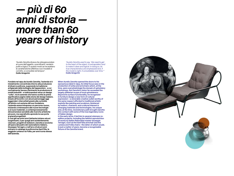### *— più di 60 anni di storia more than 60 years of history*

*"Aurelio Zanotta diceva che «bisogna andare al cuore dell'oggetto, scarnificarlo, renderlo pulito e logico: in questo modo se ne esaltano le caratteristiche effettive e se il modello è corretto, si consolida nel tempo»".* **Duilio Gregorini**

**Fondata nel 1954 da Aurelio Zanotta, l'azienda si è inizialmente concentrata intorno alla produzione di divani e poltrone, superando la tradizione artigianale delle botteghe del tappezziere - a cui normalmente faceva riferimento la produzione di mobili imbottiti - e indirizzandosi verso un design "colto", tra le aziende che hanno scritto le prime significative pagine della storia del design italiano. Grazie all'incontro con alcuni personaggi oggi leggendari, intercettati grazie alla curiosità, all'istinto e al carisma del suo fondatore, l'azienda aveva intrapreso un percorso nuovo, iniziando a interessarsi alle nuove tecnologie e ai nuovi materiali, e contemporaneamente dimostrandosi sensibile alle ricerche artistiche più pure, ma soprattutto aprendo le sue porte ai grandi progettisti.**

**E così già nei primi anni Settanta iniziano alcuni lungimiranti, e per quegli anni evidentemente visionari, progetti di riedizioni. Zanotta si avvicina all'opera del padre del razionalismo italiano, Giuseppe Terragni, e nell'arco di alcuni anni entrano in catalogo la poltroncina Sant'Elia, la seggiola Lariana e la Follia, per anni icona stessa dell'azienda.** 

*"Aurelio Zanotta used to say, 'We need to get to the heart of the object, to extrapolate it and to make it clean and logical. In doing so, its true characteristics are emphasized and, if the model is right, it consolidates over time.'"* **Duilio Gregorini**

**When Aurelio Zanotta opened the doors to his eponymous label in 1954, its initial focus was on the production of sofas and armchairs which, at the time, were overwhelmingly the domain of upholstery workshops. But Zanotta's vision far exceeded the largely utilitarian scope of local upholsterers. Beyond its surface functionality, he recognized in furniture design a new form of cultural expression—a venerable creative outlet worthy of the same respect afforded to traditional artistic exploits like painting and sculpture. Bolstered by instinct, charisma, and a natural interest in emerging materials and technologies, his unique and, at the time, revolutionary path brought Zanotta into contact with some of the now legendary icons of Italian design.** 

**In the early 1970s, it led him to several visionary reedition projects, including the faithful reproduction of works by Italian Rationalist master Giuseppe Terragni, such as the Sant'Elia armchair and the Lariana and Follia chairs—the latter of which would, in just a matter of years, become a recognizable fixture of the Zanotta brand.** 

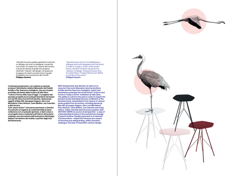*"Zanotta ha avuto quella capacità di costruire un dialogo non solo coi designer, ma anche col mondo. Di creare una 'visione del mondo', e da qui la nascita di quelli che vengono chiamati i 'classici' del design. Se qualcuno è capace di crearli vuol dire che è in grado di stabilire una concezione del mondo."* Philippe Daverio

**Contemporaneamente, con audacia e azzardo, produce l'altrettanto celebre Mezzadro dei fratelli Achille e Pier Giacomo Castiglioni, che era rimasto prototipo dai tempi della mostra di Villa Olmo "Colori e Forme nella Casa d'Oggi". E scegliere dal passato progetti ancora attuali diventerà nel tempo uno dei fili rossi ricorrenti di Zanotta, ripescando oggetti di Max Bill, Giuseppe Pagano, Gino Levi Montalcini, Piero Bottoni, Carlo Mollino, Joe Colombo e altri ancora.**

**Tutti "pezzi storici" che hanno permesso a Zanotta di costruire un legame di continuità della propria collezione con un passato glorioso, e dare corpo a un progetto teso a realizzare all'interno del proprio catalogo una microstoria dell'evoluzione del Design Italiano nel settore del mobile, a partire dagli inizi del Novecento.**

*"Zanotta knows the art of establishing a dialogue both with designers and the world, in order to create a 'vision of the world'; hence, the birth of items named as the 'classics' of design. If anyone knows how to create them, it means that he can define a concept of the world."* **Philippe Daverio**

**With fearlessness and alacrity, he went on to resurrect the iconic Mezzadro stool by brothers Achille and Pier Giacomo Castiglioni, which had remained a prototype since the famed "Colours and Forms in Today's Home" exhibition at Villa Olmo. The ability to cull from the past in order to inspire the present would ultimately become a hallmark of the Zanotta brand, instantiated in the reissue of various works pulled from its archive, including pieces by Max Bill, Giuseppe Pagano, Gino Levi Montalcini, Piero Bottoni, Carlo Mollino, Joe Colombo and many others. Today, Zanotta sees its preoccupation with HISTORIC WORK as source of perspective—a way of understanding its place in the evolutionary lineage of great furniture. Equally important is an element of preservation—respectful reissues as a means of honoring and safeguarding, within Zanotta's catalogue, the best of twentieth-century design.** 

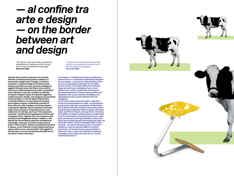*"Zanotta è un esempio di alta competenza specialistica e di apertura a tutto campo verso l'arte e le diversità dei linguaggi."*  **Riccardo Dalisi**

**Zanotta aveva anche compreso che il mondo dell'arte contemporanea poteva costituire un importante ossigeno per il design e l'universo domestico. E agli inizi degli anni Ottanta aveva iniziato a pensare a un vero e proprio catalogo di oggetti dal segno ancor più libero, dove unire le ricerche e le sperimentazioni di artisti e progettisti meno allineati, e dove far confluire la sapienza di maestri artigiani capaci di realizzare oggetti al confine tra arte e design. Una stagione che prenderà il nome di Zabro, e che nel 1989 si trasformerà in Zanotta Edizioni: un luogo pieno di sorprese, dove brillano insieme i funambolici pensieri di Bruno Munari e Alik Cavaliere, Fortunato Depero e Alessandro Mendini, Ettore Sottsass e Riccardo Dalisi, Pierre Charpin e di tanti altri ancora. Una collezione che nel 1991, per il suo "forte spessore culturale", ha ottenuto la Segnalazione d'Onore del Compasso d'Oro. Oggetti, tutti, che si ispirano alla tradizione dell'artigianato artistico italiano, e che liberati dai vincoli della produzione strettamente industriale, mostrano una forte componente di lavoro "fatto a mano", spesso recuperando tecniche in disuso, come l'intarsio o la decorazione pittorica, oppure altre nuove e sperimentali. Tutti oggetti di piccola serie, con una numerazione limitata che ne accresce il valore nel tempo.**

*"Zanotta is an example of high expertise and all-round openness towards the art and the variety of languages."* **Riccardo Dalisi**

**From early on, Zanotta possessed an instinctual sense of the co-constitutive relationship between art and design—a prescient understanding of the former as essential nourishment for the latter, and vice versa. In the early 1980s, the company began envisioning a catalogue of even more radical forms, which would unify the research and experimentation of lesser known artists and designers with an eye towards straddling, and ultimately blurring, any line between the two categories.** 

**Out of that moment came the Zabro collection recast as Zanotta Edizioni in 1989—combining the unexpected, high wire expressions of talents like Bruno Munari and Alik Cavaliere; Fortunato Depero and Alessandro Mendini; Ettore Sottsass, Riccardo Dalisi, and Pierre Charpin, among others. Honoring the tradition of Italian craftsmanship, and liberated from the constraints of industrial production, each piece possessed a strong handmade component, often resurrecting beloved techniques like inlay and decorative paint—which had largely fallen to the wayside—as well as introducing new, innovative variations. Done as special editions in limited production, all would increase exponentially in value over time. In 1991, the collection received a Compasso d'Oro Award of Honor for its "strong cultural importance."** 





### *— al confine tra arte e design — on the border between art and design*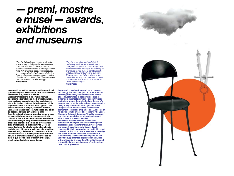#### *— premi, mostre e musei — awards, exhibitions and museums*

*"Zanotta è di certo una bandiera del design 'made in Italy'. E lo è proprio per non essere stata solo un'azienda, ma un percorso culturale. Molti pezzi del suo catalogo sono di fatto delle anomalie, cose poco incasellabili con le regole degli estratti conto e delle cifre. Sono degli esperimenti per immaginare delle diversità nel concepire gli ambienti domestici. Con molto anticipo e molto coraggio."* **Mario Piazza**

**51 prodotti premiati. 8 riconoscimenti internazionali. 3 premi Compassi d'Oro. 297 prodotti nelle collezioni permanenti in 47 musei nel mondo. Grazie all'introduzione di innovazioni formali, tipologiche e tecnologiche, molti prodotti Zanotta sono oggi vere e proprie icone riconosciute nella storia del design, citate nei libri ed esposte nei più importanti musei di arti decorative: oggetti come Sacco, Mezzadro, Sciangai, Quaderna, Tonietta, Leonardo e tanti altri ancora, tutti best e long seller da decenni, attuali e geniali ancora oggi. Zanotta è stata tra le prime aziende a comprendere la necessità di promuovere e sostenere attività culturali in forma di mostre e convegni, eventi non direttamente legati alla produzione ma in modo più ampio alla ricerca e allo studio dei diversi ambiti della progettazione e della creatività. E così nel corso degli anni Zanotta ha sostenuto molteplici iniziative per diffondere lo sviluppo delle tematiche legate al design dell'oggetto d'arredo e all'abitare, affiancando alla sua attività produttiva un'intensa attività di promozione culturale, e partecipando a più di 380 mostre e alle riflessioni critiche più significative degli ultimi quarant'anni.**

*"Zanotta is certainly one 'Made in Italy' design flag, and that's because it hasn't been just a company, but a cultural journey. Many pieces in its catalogue are made up of anomalies, things that are hard to classify with bank statement rules and numbers. They are experiments for envisaging the many different ways to conceive a domestic environment, well in advance of others and with a lot of courage."* **Mario Piazza**

**Representing landmark innovations in typology, technology, and form, many of Zanotta's products are recognized today as true icons in the annals of design, referenced in academic books and exhibited in the most prestigious decorative arts institutions around the world. To date, the brand's ever-expanding pedigree includes 51 award-winning designs, eight international recognitions, three Compassi d'Oro awards, and 297 pieces in the permanent collections of 47 museums. And some of its longtime, multi-awarded best sellers—the Sacco, Mezzadro, Sciangai, Quaderna, Tonietta, Leonardo and others—remain just as relevant and sought after now as in previous decades. But beyond the accumulation of accolades, Zanotta was among the first furniture companies to also recognize the inherent value in promoting and supporting cultural activities not directly connected to their own production—exhibitions and conventions that contribute to aesthetic knowledge and man's approach to the built environment in a broader way. Over its decades-long tenure, the Zanotta's supplemented its production activities with participation in more than 380 exhibitions and a slew of initiatives tackling some of the industry's most critical questions.** 

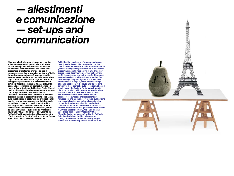### *— allestimenti e comunicazione — set-ups and communication*

**Mostrare gli esiti del proprio lavoro non vuol dire solamente esporre gli oggetti della produzione, arrivati a compimento dopo mesi e a volte anni di verifiche e sperimentazioni. Vuole anche dire presentarsi progettando un modo ad hoc di proporre e comunicare, sinergicamente e in affinità, il proprio nuovo patrimonio. E a questo aspetto Zanotta ha sempre dato una particolare attenzione, dagli ormai mitici allestimenti degli anni Settanta, coraggiosi e provocatori, ai superbi allestimenti di Achille Castiglioni degli anni Ottanta e Novanta, passando alle immagini più domestiche ma non meno raffinate degli stand di Bertero-Panto-Marzoli degli anni Duemila, fino al nuovo percorso intrapreso con i progetti dello studio Calvi-Brambilla. L'universo Zanotta ha visto l'interesse di centinaia di articoli su grandi quotidiani e riviste specializzate, sulla pubblicistica di costume e sui principali canali televisivi e web. La sua produzione è stata accolta in centinaia di mostre culturali, e oggetto di tre studi approfonditi che hanno dato origine a tre diversi volumi: "Mobili come architetture", scritto da Stefano Casciani e pubblicato da Arcadia nel 1984; "Zanotta. Design per passione", scritto da Raffaella Poletti e pubblicato da Electa nel 2004, e "Design: 101 storie Zanotta", scritto da Beppe Finessi e pubblicato da Silvana Editoriale nel 2015.**

**Exhibiting the results of one's own work does not mean just displaying objects of production that have come into fruition after months and sometimes years of testing and experimentation. It also means presenting oneself by projecting in an ad hoc way to propose and communicate, synergistically and in affinity, one's own new patrimony. To this aspect, Zanotta has always paid particular attention, from the now-legendary courageous and provocative productions of the 1970s, to the superb settings of Achille Castiglioni in the 1980s and 1990s, right through to more domestic but no less sophisticated imaginings of the Bertero-Panto-Marzoli stands of the 2000s, along with the new path undertaken with the projects of the Calvi-Brambilla studio. The Zanotta universe has been the subject of interest for hundreds of articles in major newspapers and magazines, of fashion publications and major television channels and websites. Its production has been received by hundreds of cultural exhibitions and has been the subject of three in-depth studies that gave rise to three books: "Furniture as architecture", written by Stefano Casciani and published by Arcadia in 1984; "Zanotta. Design for passion", written by Raffaella Poletti and published by Electa in 2004, and "Design: 101 Zanotta stories" written by Beppe Finessi and published by Silvana Editoriale in 2015.**



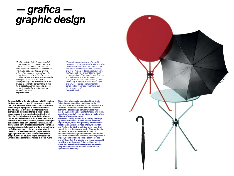### *— grafica graphic design*

*"Occhi sensibilissimi sul mondo quelli di un personaggio colto che per Zanotta è stato anche lo storico art director della metà degli anni Sessanta. Ovvero Michele Provinciali, uno dei padri della grafica italiana, l''umanista'che ha portato nella comunicazione visiva del nostro paese nuovi sapori e temperature altre, cercando il dialogo con la vita di tutti i giorni, accorgendosi per noi della bellezza di un gruppo di saponette consumate o di una fila di gessetti colorati: «raccolgo le cose comuni… quelle che si vedono sempre e non si guardano»".*  **Beppe Finessi**

**Da quando Mario Scheichenbauer nel 1963 realizza il primo marchio con una "Z" bianca su un tondo nero, sottolineata dalla dicitura "Zanotta Poltrone", passando per il progetto di Michele Provinciali che nel 1966 era diventato direttore artistico dell'azienda, a quello di Marcello Minale di poco successivo, e fino al contributo significativo di Pierluigi Cerri degli anni Ottanta, l'attenzione ai vari aspetti della comunicazione è sempre stata al centro dei pensieri dell'azienda, sia nelle campagne pubblicitarie degli anni Ottanta e Novanta, che ai giorni nostri, con il progetto di immagine coordinata curato da Leonardo Sonnoli, uno dei più significativi grafici internazionali della generazione dopo i maestri, che ha ridisegnato il logotipo "Zanotta", aggiungendo i "due punti" come dichiarazione di apertura verso il futuro, segno particolare di un'azienda da sempre alla ricerca di mondi nuovi.**

*"Eyes extremely sensitive to the world, those of a cultured personality who was also the historical art director for Zanotta in the mid-1960s. That being Michele Provinciali, one of the fathers of Italian graphic design, the 'humanist' who brought to the visual communication of this country new flavours and different temperatures, seeking a dialogue with everyday life, realising for us the beauty of a group of consumed soaps or a row of coloured chalks: «I collate common things... those you always look at and never see»".* **Beppe Finessi**

**Since 1963, when designer and architect Mario Scheichenbauer emblazoned a bold, white "Z" onto a trim black circle, underscored by the words "Zanotta Armchairs," attention to the power of branding—of distilling a company's core values into clear, cogent, and consistent messaging (both verbal and pictorial)—has remained at the forefront of Zanotta's consciousness.** 

**This was a priority evidenced in the logo redesign by Michele Provinciali, whose artistic direction began in 1966, and subsequent adjustments and iterations by Marcello Minale, shortly thereafter, and Pierluigi Cerri in the eighties. More recently, it materialized in the inspired work of internationally renowned graphic artist Leonardo Sonnoli, responsible for the logo's most recent incarnation. In a stroke of minimalist brilliance, boasting maximal impact, Sonnoli affixed a simple colon onto the end of "Zanotta." The addition, he reasoned, would provide a graphic punch. But more than that, it was a deliberate brand message—an expression of optimism for the future and a declaration of openness to discovery.** 

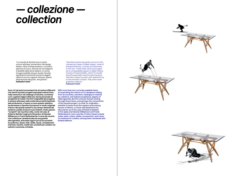### *— collezione collection*

*"Le vicende di Zanotta sono in parte comuni alla fase 'pionieristica' del design italiano, fatta d'intraprendenza, curiosità e apertura al nuovo, favorite da una stagione irripetibile della storia italiana. Un senso di responsabilità che per Aurelio Zanotta significava innanzitutto produrre oggetti dotati di una loro ragione d'essere, attenti all'evoluzione del gusto, mai gratuiti."* **Raffaella Poletti**

**Sono 127 gli autori provenienti da 18 nazioni differenti che hanno lasciato progetti esemplari nell'archivio, nella memoria e nel catalogo di Zanotta, scrivendo così i capitoli migliori della loro storia personale di progettisti di mobili. Perché l'originalità del progetto è sempre alla base nella scelta dei prodotti destinati alla produzione: e l'avere a cuore questo obiettivo ha permesso a Zanotta di proporre in modo originale il lavoro dei grandi maestri a suo tempo dimenticati, insieme a quello di alcuni nuovi talenti, molto spesso "scoperti" per la prima volta, come nel caso di Roberto Barbieri negli anni Novanta e di Damian Williamson e Frank Rettenbacher in anni più recenti. Una collezione caratterizzata da una grande eterogeneità, articolata oggi in più di 200 prodotti tra poltrone, divani, letti, sedie, tavoli, complementi d'arredo, tavolini, mobili vari, prodotti per outdoor ed edizioni numerate e limitate.**

*"Zanotta's events are partly common to the 'pioneering' phase of Italian design, made of entrepreneurship, curiosity and openness to the new. These traits were encouraged by an unrepeatable season in Italian history. A sense of responsibility, which for Aurelio Zanotta especially meant producing items that had a reason to exist, with special focus on the evolution of taste. They were never gratuitous objects."* **Raffaella Poletti**

**With more than 200 currently available items incorporating the visions of 127 designers hailing from 18 countries, Zanotta's catalogue is marked by a distinct, and indeed exceptional, degree of heterogeneity. But the common thread running through those items, and perhaps the cornerstone of the Zanotta project, is a flair for originality whether it issues from the masters and unsung heroes of history, or those still destined to be discovered, as in the case of Roberto Barbieri in the 1990s and Damian Williamson and Frank Rettenbacher more recently. Product types include sofas, beds, chairs, tables, accessories, and a bevy of creations for outdoor, among them numbered and limited editions.** 





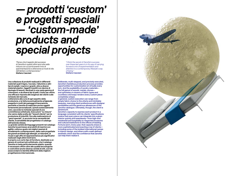*"Penso che il segreto del successo di Zanotta in questi ultimi anni stia nella misura con cui porta avanti il mix di sperimentazione e attenzione ai modi di vita dell'abitare contemporaneo."* **Stefano Casciani**

**Una collezione di prodotti realizzati in differenti materiali quali il legno, l'acciaio, l'alluminio e altri tipi di metalli, i marmi e i graniti, oltre a diversi materiali plastici. Oggetti rivestiti con decine di tipologie di tessuti, declinati in una vasta gamma di colorazioni, e da diversi tipi di pelli, il tutto per offrire una efficace risposta alle esigenze dei clienti e alle richieste del mercato.** 

**L'attenzione alla cura di ogni aspetto della produzione, e la fattura puntualmente artigianale eseguita in molti dei passaggi di lavorazione, permette a Zanotta di realizzare anche oggetti fortemente personalizzati, quindi sostanzialmente unici, secondo le richieste speciali di una committenza sofisticata. Esecuzioni "su misura" che vanno dalla scelta dei "tessuti cliente" per la produzione di imbottiti, fino alla realizzazione di "pezzi speciali", in accordo tra le necessità del cliente, la sensibilità del progettista e il catalogo dell'azienda stessa.**

**La grande varietà dei linguaggi presenti nel catalogo Zanotta ha permesso ai prodotti di inserirsi con agilità, cultura e gusto nei migliori esempi di arredamento contemporaneo, dalle case progettate dai grandi architetti agli alberghi, ai ristoranti, ai musei e agli uffici di rappresentanza più significativi realizzati negli ultimi trent'anni.** 

**E proprio a un certo tipo di forniture, destinate a un genere di contract più sofisticato, che il catalogo Zanotta si rivela particolarmente adatto: quando è necessario offrire oltre alle qualità tecnologiche e costruttive anche diverse varietà di stili, così da assecondare le identità differenti della migliore progettazione internazionale.**

*"I think the secret of Zanotta's success over these last years is in its way of carrying forward a mix of experimentation and attention to a contemporary lifestyle's way of being."* **Stefano Casciani**

**Deliberate, multi-stepped, and precisely executed, Zanotta's fastidious production process provides opportunities for customization at virtually every turn. And the availability of sundry materials the full gamut of woods, metals, stones and upholstery in dozens of fabric types and countless colorways renders every custom piece completely unique.** 

**In general, custom execution can range from simple fabric choice to the utterly and inimitably bespoke, marrying client preferences with designer sensibilities and the generous allowances of the Zanotta catalogue. Ultimately, though, the client is paramount.** 

**Zanotta's capacity to express each product in a language consistent with its clients' specifications means that every piece can integrate into a given interior quickly and seamlessly—from high-end residential and hospitality to respected museums and cultural institutions to the offices of leading Fortune 500's. Every year, that capacity draws a more sophisticated and exacting crop of clients including some of the boldest international names in interior design, and others with a well-defined aesthetic vision and the confidence that Zanotta can help them realize it.** 



### *— prodotti 'custom' e progetti speciali — 'custom-made' products and special projects*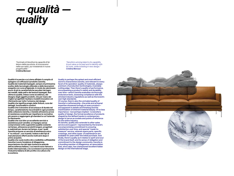## *— qualità quality*

*"Il primato di Zanotta è la capacità di far tesoro della sua storia, di riconoscersi nelle sue radici, pur investendo in nuova progettualità."* **Cristina Morozzi**

**Qualità è la parola a cui viene affidato il compito di spiegare con efficacia il prodotto Zanotta. Qualità dei materiali impiegati, sempre di primissima scelta; delle tecnologie utilizzate e delle lavorazioni eseguite con cura artigianale, in modo da valorizzare ancor di più le caratteristiche peculiari dei legni, dei metalli, delle pelli e dei tessuti impiegati. Non ultima la qualità, intesa come eccellenza, del disegno degli oggetti prodotti, che per mano dei migliori progettisti risultano modelli innovativi e di riferimento per tutto l'universo del design. Qualità che significa pregio delle finiture, cura dei dettagli, funzionalità e comfort.**

**Qualità che è sinonimo di sicurezza e di durata nel tempo, caratteristiche riscontrabili in ogni prodotto della collezione Zanotta, e testate attraverso prove di resistenza condotte per rispettare le normative più severe e raggiungere gli standard a cui l'azienda fa riferimento.**

**Qualità che vuol dire un eccellente servizio e assistenza post-vendita: un impegno senza compromessi volto a garantire qualità costante nel tempo, attraverso prodotti longevi, progettati e realizzati per durare nel tempo, e per i quali Zanotta propone un servizio di assistenza unico e "su misura", con ricambi, fodere e altri tipi di manutenzione offerti anche molti anni dopo il primo acquisto.**

**Qualità che vuole inoltre dire credibilità e affidabilità: Zanotta è socio fondatore di Altagamma, associazione che dal 1992 riunisce le aziende dell'eccellenza italiana, i cui marchi sono famosi a livello internazionale, e la cui mission è promuovere l'industria italiana di alto profilo e la cultura che la sostiene.**

*"Zanotta's winning talent is its capability to put value on its past and to identify with its roots, while investing in new design."* **Cristina Morozzi** 

**Quality is perhaps the aptest and most efficient word to characterize Zanotta, and relevant to every facet of its operation: quality of materials, always premium; of production technologies, invariably cutting edge. Then there's quality of performance, encompassing a product's safety and durability over time—which Zanotta evaluates via thorough endurance tests, assessing compliance with the strictest industry regulations as well as the brand's own high standards.** 

**Of course, there's also the unrivaled quality of Zanotta's craftsmanship—the pride and artisanal expertise showered lovingly on every product and apparent in details and finishing and the maximization of inherent material beauty. Of no less importance—but perhaps implied—is Zanotta's quality of design, the formal excellence of products shaped by the deftest hands in contemporary design to serve as models and points of reference for the entire industry.** 

**At Zanotta, quality also extendst to after-sales service and support—represented by the brand's uncompromising commitment to ensuring satisfaction over time, and special "made-tomeasure" service, wherein spare parts, specific coverings, and other types of maintenance are available for years after the initial purchase. And finally, there's quality as it relates to spirit and soul of the brand itself, and its sense of obligation and commitment to the design community. Zanotta is a founding member of Altagamma, an association that, since 1992, has championed excellent Italian design on the international stage.** 

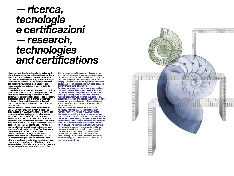#### *— ricerca, tecnologie e certificazioni — research, technologies and certifications*

**Il lavoro che porta alla realizzazione degli oggetti che entrano nel catalogo dell'azienda comporta un lungo iter di studio, discussione, prototipazione, verifica e definizione finale di ogni minimo dettaglio: lavoro che avviene in costante e diretto rapporto con il progettista, legame che è alla base del successo del marchio Zanotta e dell'unicità dei sui prodotti.** 

**I materiali e le tecnologie impiegate nella produzione sono diverse decine, e vanno dalla pressofusione di alluminio allo stampaggio rotazionale, dalla schiumatura del poliuretano espanso alla forgiatura del metallo, dalla fusione di bronzo allo stampo a iniezione, fino a molte lavorazioni artigianali, come l'intarsio ligneo e la decorazione policroma fatta a mano.**

**Zanotta rispetta le certificazioni internazionali UNI EN ISO 9001:2008 per i sistemi di gestione della qualità, e OHSAS 18001:2007 per la salute e la sicurezza sui luoghi di lavoro. Ha inoltre ottenuto la certificazione di qualità del prodotto TÜV PROFICERT-product. L'iter della certificazione di prodotto è stato attualmente applicato a una parte della produzione recente e i prodotti certificati sono stati scrupolosamente esaminati per verificarne le conformità con i requisiti specificati, inclusi quelli legati alla fornitura di elementi ignifughi, parametro obbligatorio per l'utilizzo in alcuni paesi. Uno sforzo continuo di miglioramento dei processi industriali e dell'organizzazione intera: un approccio integrato, mirato a far sì che ogni attività progettuale, produttiva e distributiva venga condotta nel pieno rispetto dell'ambiente, della salute e della dignità della persona, così da garantire alle generazioni future un'alta qualità della vita.**

**Behind the scenes at Zanotta, production alone is an umbrella that can encompass several dozen processes, such as aluminum die casting, rotational moulding, polyurethane foam expansion, metal forging, bronze fusion, mould injections, and a host of artisanal techniques including wooden inlay and polychromatic hand-decoration.** 

**But, to ensure success, each piece is also subject to a meticulous series of steps beyond physical production before being admitted into the Zanotta catalogue. Among them: exhaustive formal and material study followed by extensive discussion, prototyping, testing, and detail adjustment—all done in constant and direct contact with the designer, whose satisfaction constitutes a bedrock of the brand's success.** 

**Zanotta is in full compliance with UNI EN ISO 9001:2008 international standards for quality management systems and OHSAS 18001:2007 standards for health and safety in the workplace, and has earned the TÜV PROFICERT-product quality certification, establishing compliance with specified prerequisites such as those related to fire-retardant elements mandatory for sale in certain countries. Above all, Zanotta strives continuously to improve its industrial processes—and operation at large taking an integrated approach aimed at ensuring that each step in the design, production and distribution processes is accomplished with absolute respect for the environment, and for the health and happiness of both current employees and future generations.**

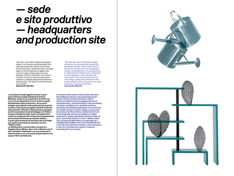### *— sede e sito produttivo — headquarters and production site*

*"Zanotta, come altre industrie del design italiano, ha compiuto positivamente il suo salto generazionale. Esiste una Zanotta storica ed eroica, quella di Aurelio, ed esiste oggi una Zanotta giovane e aggiornata. Le forme oggi corrispondono ai nuovi designer, ai nuovi materiali e nuovi trend. E questo rinnovo mi sembra essere ben radicato e collegato alla grande tradizione dell'azienda, in un'ideale continuità di stile e di metodo."* 

**Alessandro Mendini** 

**La produzione degli oggetti avviene in gran parte all'interno degli stabilimenti di Nova Milanese, estesi su una superficie di 16000 mq, con circa 90 dipendenti di cui la metà occupati direttamente nella produzione, veri e propri artigiani specializzati nelle particolari lavorazioni di pelle e tessuti per gli oggetti imbottiti realizzati internamente. All'interno dell'azienda avvengono anche le operazioni di assemblaggio e di finitura di alcuni modelli di sedie, tavoli, complementi e mobili vari realizzati dai fornitori tecnologicamente più avanzati del tessuto produttivo italiano, in gran parte presenti nel territorio del nord Italia: per questo la produzione Zanotta è al 100% "Made in Italy".**

**La distribuzione commerciale si avvale di 3 Flagship Store (Milano, New York e Miami) e più di 800 rivenditori selezionati, con una presenza in oltre 60 paesi e con una quota di esportazioni che supera l'80% del fatturato.**

*"Zanotta, like many other Italian design industries, has successfully jumped the generation hurdle. There is still a historic and heroic Zanotta, the one belonging to Aurelio, and today there is a young and upto-date Zanotta. Shapes now correspond to new designers, new materials and new trends. This renewal seems to me to be deep-rooted and connected to the great traditions of the company, in an ideal continuity of style and method."* **Alessandro Mendini**

**Production takes place mainly within Zanotta's Nova Milanese factory, encompassing 16,000 square metres and 90 employees, half of whom are skilled artisans engaged directly in manufacturing—and particularly in the processing of leather and fabrics for upholstered items. Assembly and finishing operations are carried out for certain models of chairs, tables, accessories and various furniture items created by the most technologically-advanced suppliers in Italian production, largely operating in Northern Italy. As such, Zanotta production is 100% "Made in Italy". The commercial distribution is supported by 3 Flagship Stores (Milan, New York and Miami) and more than 800 selected resellers, with a presence in over 60 countries and a quota of exports exceeding 80% of turnover.**

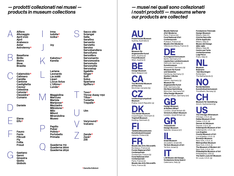#### *— prodotti collezionati nei musei products in museum collections*

**\*Zanotta Edizioni**

I

J

K

L

M

P

Q

S

T

U

 $\bigvee$ 

Z

A **Alfiere Allunaggio April 2120 April Arabesco Aster Astrolenny\***

B **Basellone Birillo Bistro Blow Brasilia**

C **Calamobio\* Calimero Camilla Cantone Castiglietta Cavour Celestina Cetonia\* Clessidra\* Cumano**

D **Daniele**

E **Elena Elfo\***

F **Fauno Fenis Filicudi Fly Follia Freud**

G **Gaetano Genni Ginestra Giotto Globulo**

**Irma**

**Iudolia\* Izzika\* Joy**

> **Kaketou\* Karelia**

**Lariana Leonardo Lia 2086 Lipari Locus Solus L'Ultimo\* Lunda\***

**Maggiolina Marcuso Mariola Mariposa\* Mezzadro Mikiolone\* Milo Milord Mirandolina**

**Museo** 

**Papilio Poker Polinio\* Portobello Primate**

> **Quaderna 710 Quaderna 2600 Quaderna 2830**

**Sacco 280 Sciangai Sella Serafino Servento Servietto Servino Servobandiera Servofumo Servolibro Servomanto Servomostre Servomuto Servonotte Servostop Sgabillo Singer\* Soft Solus Spartana Spiffero\* Texo\* Throw-Away 1150 Tillus\* Tonietta Trepalle\***

**Ulm**

**Veryround\* Vulcano**

**Zande\* Zazà\* Zilli**

#### *— musei nei quali sono collezionati i nostri prodotti — museums where our products are collected*

**AU Powerhouse Museum** Sydney, Australia (1)

**AT Museum für Angewandte Kunst** Wien, Austria (2) **Freud Museum** Wien, Austria (1)

**BE Design Museum**  Gent, Belgium (12)

**CA The Montréal Museum of Fine Arts** Montréal, Canada (15)

**CZ Uméleckoprumyslové Muzeum** Praha, Czech Republic (4)

**DK The Danish Museum**  Copenhagen, Denmark (1) **Trapholt Museum** Kolding, Denmark (1)



**Konstindustrimuseet** Helsinki, Finland (6)

**FR Musée des Arts Décoratifs**

Bordeaux, France (4) **Fonds Régional d'Art Contemporain** Dunkerque, France (5) **Fond National d'Art Contemporain** Paris, France (2) **Musée des Arts Décoratifs** Paris, France (6)

**Musée National d'Art Moderne** Paris, France (12) **Fond National d'Art Contemporain** Puteaux, France (2) **Musée d'Art Moderne** Villeneuve d'Ascq, France (1)

**DE Kunstgewerbemuseum** Berlin, Germany (17) **Lippisches Landesmuseum**  Detmold, Germany (1) **Kunstmuseum** Düsseldorf, Germany (9) **Museum für Kunst und Gewerbe** Hamburg, Germany (7) **Gustav-Lübcke Museum** 

Hamm, Germany (3) **Museum für Angewandte Kunst** Köln, Germany (15) **Die Neue Sammlung** München, Germany (21) **Vitra Design Museum** Weil am Rhein, Germany (20)

**GB Design Museum at Butlers Wharf** London, Great Britain (6) **Victoria & Albert Museum** London, Great Britain (4)

**GR Thessaloniki Design Museum** Saloniki, Greece (27)

**IL Israel Museum**

Jerusalem, Israel (16) **Tel Aviv Museum of Art** Tel Aviv, Israel (1)

**IT LAB Museo del Design, fondazione Anna Querci** Calenzano, Italy (3)

**Fondazione Triennale Design Museum** Milano, Italy (17) **Civiche Raccolte d'Arte Applicata** Milano, Italy (1) **Museo del Design 1880-1980** Milano, Italy (8) **Centro per l'arte contemporanea Luigi Pecci** Prato, Italy (1)

#### **NL Museum**

**Boijmans -Van Beuningen** Rotterdam, The Netherlands (1)

**NO Nordenfjeldske** 

**Kunstindustriemuseum** Trondheim, Norway (2)

**CH Museum für Gestaltung** Zürich, Switzerland (9)

**US The Chicago Athenaeum**

Chicago, U.S.A. (3) **Dallas Museum of Art** Dallas, U.S.A. (3) **Denver Art Museum** Denver, U.S.A. (2) **Indianapolis Museum of Art** Indianapolis, U.S.A. (5) **Los Angeles County Museum of Art** Los Angeles, U.S.A. (1) **Brooklyn Museum** New York, U.S.A. (1) **Metropolitan Museum** New York, U.S.A. (1) **The Museum of Modern Art** New York, U.S.A. (12) **Philadelphia Museum of Art** Philadelphia, USA (2) **The Saint Louis Art Museum** St. Louis, U.S.A. (3)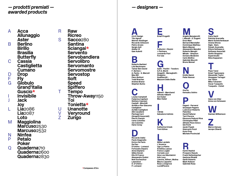#### *— prodotti premiati awarded products*

**\*Compasso d'Oro**

**A A & E Design Tito Agnoli Werner Aisslinger Riccardo Arbizzoni Pietro Arosio Sergio Asti Atelier Oï Gae Aulenti B Roberto Barbieri** 

**Liisi Beckmann Tamar Ben David F. Bertero -** 

**A. Panto - S. Marzoli**

**Max Bill Piero Bottoni Todd Bracher Andrea Branzi Stephen Burks**

**C Louise Campbell**

**Federica Capitani Stefano Casciani Castelli - Minchilli Achille e Pier Giacomo** 

**Castiglioni** 

**Achille Castiglioni Alik Cavaliere Pierluigi Cerri (Gregotti Associati) Pierre Charpin Carlo Colombo Joe Colombo** 

**Hans Coray D Riccardo Dalisi** 

**Paolo Deganello Enrico De Paris** 

**De Pas -** 

**D'Urbino - Lomazzi Fortunato Depero Anna Deplano Gilles Derain Elio Di Franco Alessandro Dubini Noé Duchaufour Lawrance D. D'Urbino - P. Lomazzi**



**F Fattorini + Rizzini** 

**+ Partners Leonardo Fiori**

**For Use G Gatti - Paolini - Teodoro G.P.A. Monti Gregotti - Meneghetti - Stoppino Gualtierotti - Mazzoni Delle Stelle**

**H Häberli - Marchand Alfredo Häberli Aoi Huber Max Huber**

**I I-Bride Salvatore Indriolo**

**K Katherine Krizek Tom Kühne**

**L Willie Landels L'Anverre Ugo La Pietra Kristiina Lassus Franco Legler Corrado Levi Gino Levi Montalcini Arik Levy Lievore, Altherr, Molina Mauro Lipparini Ross Lovegrove LucidiPevere** 

ABCDFGIJLMNPQ  $\overline{\mathsf{A}}$ **Acca Allunaggio Aster Berlino** B **Birillo Brasilia Butterfly**  $\mathbf C$ **Cassia Castiglietta Cumano Drop** D F **Fly** G **Globulo Grand'Italia Guscio \* Invisibile Jack Joy Lia**2086 **Lia**2087 **Loto** M **Maggiolina Marcuso**2530 **Marcuso**2532 **Ninfea** N  $\mathsf{D}% _{T}$ **Petalo Poker Quaderna**710  $\overline{Q}$ **Quaderna**2600 **Quaderna**2830

**M Angelo Mangiarotti I. Marelli - D. Eugeni Enzo Mari Bernard Marstaller Dominique Mathieu Mario Mazzer Alessandro Mendini Roberto Menghi Minale - Simpson Doriano Modenini Carlo Mollino Gabriele Mucchi Bruno Munari**

**N Emilio Nanni**

**Peter Noever**

**O Ora Ïto**

**Kensaku Oshiro P Pagani - Perversi Giuseppe Pagano Ludovica+Roberto Palomba David Palterer Terri Pecora Eleonore Peduzzi Riva Christophe Pillet Alfredo Pizzo Greco Giò Ponti Jacek Popek Giancarlo Pozzi Kuno Prey Michele Provinciali**

**R Karim Rashid**

**Prospero Rasulo Frank Rettenbacher Gastone Rinaldi Garth Roberts Mark Robson Gabriele Rosa**

**S Carlo Santi Patrizia Scarzella Mario Scheichenbauer Orsina Sforza Sigla - Bani, Penati, Scarzella Ettore Sottsass jr. Sottsass Associati Giotto Stoppino Superstudio Ilkka Suppanen**

**T Pepe Tanzi Ilmari Tapiovaara Alexander Taylor Giuseppe Terragni Joe Tilson Mika Tolvanen Oscar Tusquets Tusquets - Clotet**

**V Hans von Klier**





#### *— designers —*

**Raw Ricreo Sacco**280 **Santina Sciangai \* Servento Servobandiera Servolibro Servomanto Servomostre Servostop Soft Speed Spiffero Tempo Throw-Away**1150 **Toi Tonietta \* Unanotte Veryround Zurigo**

RSS<br>TUVZ

Τ

 $\bigcup$ 

 $\overline{\mathsf{V}}$ 

 $\overline{Z}$ 

R

S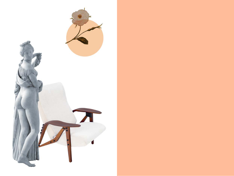